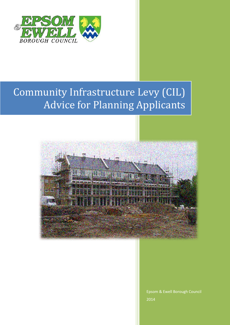

# Community Infrastructure Levy (CIL) Advice for Planning Applicants



Epsom & Ewell Borough Council 2014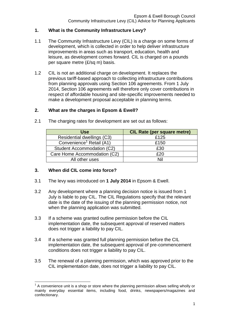## **1. What is the Community Infrastructure Levy?**

- 1.1 The Community Infrastructure Levy (CIL) is a charge on some forms of development, which is collected in order to help deliver infrastructure improvements in areas such as transport, education, health and leisure, as development comes forward. CIL is charged on a pounds per square metre (£/sq m) basis.
- 1.2 CIL is not an additional charge on development. It replaces the previous tariff-based approach to collecting infrastructure contributions from planning approvals using Section 106 agreements. From 1 July 2014, Section 106 agreements will therefore only cover contributions in respect of affordable housing and site-specific improvements needed to make a development proposal acceptable in planning terms.

### **2. What are the charges in Epsom & Ewell?**

| <b>Use</b>                           | <b>CIL Rate (per square metre)</b> |
|--------------------------------------|------------------------------------|
| Residential dwellings (C3)           | £125                               |
| Convenience <sup>1</sup> Retail (A1) | £150                               |
| Student Accommodation (C2)           | £30                                |
| Care Home Accommodation (C2)         | £20                                |
| All other uses                       | Nil                                |

2.1 The charging rates for development are set out as follows:

### **3. When did CIL come into force?**

- 3.1 The levy was introduced on **1 July 2014** in Epsom & Ewell.
- 3.2 Any development where a planning decision notice is issued from 1 July is liable to pay CIL. The CIL Regulations specify that the relevant date is the date of the issuing of the planning permission notice, not when the planning application was submitted.
- 3.3 If a scheme was granted outline permission before the CIL implementation date, the subsequent approval of reserved matters does not trigger a liability to pay CIL.
- 3.4 If a scheme was granted full planning permission before the CIL implementation date, the subsequent approval of pre-commencement conditions does not trigger a liability to pay CIL.
- 3.5 The renewal of a planning permission, which was approved prior to the CIL implementation date, does not trigger a liability to pay CIL.

<sup>1</sup>  $1$  A convenience unit is a shop or store where the planning permission allows selling wholly or mainly everyday essential items, including food, drinks, newspapers/magazines and confectionary.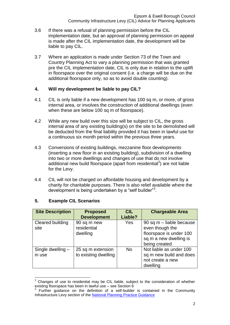- 3.6 If there was a refusal of planning permission before the CIL implementation date, but an approval of planning permission on appeal is made after the CIL implementation date, the development will be liable to pay CIL.
- 3.7 Where an application is made under Section 73 of the Town and Country Planning Act to vary a planning permission that was granted pre the CIL implementation date, CIL is only due in relation to the uplift in floorspace over the original consent (i.e. a charge will be due on the additional floorspace only, so as to avoid double counting).

### **4. Will my development be liable to pay CIL?**

- 4.1 CIL is only liable if a new development has 100 sq m, or more, of gross internal area, or involves the construction of additional dwellings (even when these are below 100 sq m of floorspace).
- 4.2 While any new build over this size will be subject to CIL, the gross internal area of any existing building(s) on the site to be demolished will be deducted from the final liability provided it has been in lawful use for a continuous six month period within the previous three years.
- 4.3 Conversions of existing buildings, mezzanine floor developments (inserting a new floor in an existing building), subdivision of a dwelling into two or more dwellings and changes of use that do not involve additional new build floorspace (apart from residential<sup>2</sup>) are not liable for the Levy.
- 4.4 CIL will not be charged on affordable housing and development by a charity for charitable purposes. There is also relief available where the development is being undertaken by a "self builder"<sup>3</sup>.

| <b>Site Description</b>     | <b>Proposed</b><br><b>Development</b>     | <b>CIL</b><br>Liable? | <b>Chargeable Area</b>                                                                                            |
|-----------------------------|-------------------------------------------|-----------------------|-------------------------------------------------------------------------------------------------------------------|
| Cleared building<br>site    | 90 sq m new<br>residential<br>dwelling    | Yes                   | 90 sq m - liable because<br>even though the<br>floorspace is under 100<br>sq m a new dwelling is<br>being created |
| Single dwelling -<br>in use | 25 sq m extension<br>to existing dwelling | <b>No</b>             | Not liable as under 100<br>sq m new build and does<br>not create a new<br>dwelling                                |

### **5. Example CIL Scenarios**

<sup>1</sup> <sup>2</sup> Changes of use to residential may be CIL liable, subject to the consideration of whether existing floorspace has been in lawful use – see Section 6<br>3. Eurther, guidence, an the definition of a self-huilde

Further guidance on the definition of a self-builder is contained in the Community Infrastructure Levy section of the National Planning [Practice Guidance](http://planningguidance.planningportal.gov.uk/)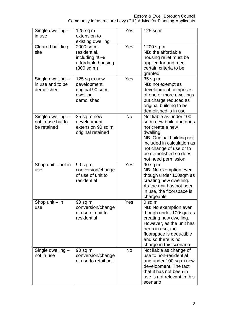| Single dwelling -<br>in use                           | $125$ sq m<br>extension to<br>existing dwelling                                | Yes       | $125$ sq m                                                                                                                                                                                                               |
|-------------------------------------------------------|--------------------------------------------------------------------------------|-----------|--------------------------------------------------------------------------------------------------------------------------------------------------------------------------------------------------------------------------|
| Cleared building<br>site                              | 2000 sq m<br>residential,<br>including 40%<br>affordable housing<br>(800 sq m) | Yes       | 1200 sq m<br>NB: the affordable<br>housing relief must be<br>applied for and meet<br>certain criteria to be<br>granted                                                                                                   |
| Single dwelling -<br>in use and to be<br>demolished   | 125 sq m new<br>development,<br>original 90 sq m<br>dwelling<br>demolished     | Yes       | 35 sq m<br>NB: not exempt as<br>development comprises<br>of one or more dwellings<br>but charge reduced as<br>original building to be<br>demolished is in use                                                            |
| Single dwelling -<br>not in use but to<br>be retained | 35 sq m new<br>development<br>extension 90 sq m<br>original retained           | <b>No</b> | Not liable as under 100<br>sq m new build and does<br>not create a new<br>dwelling<br>NB: Original building not<br>included in calculation as<br>not change of use or to<br>be demolished so does<br>not need permission |
| Shop unit - not in<br>use                             | $90$ sq m<br>conversion/change<br>of use of unit to<br>residential             | Yes       | 90 sq m<br>NB: No exemption even<br>though under 100sqm as<br>creating new dwelling.<br>As the unit has not been<br>in use, the floorspace is<br>chargeable                                                              |
| Shop unit $-$ in<br>use                               | 90 sq m<br>conversion/change<br>of use of unit to<br>residential               | Yes       | $0$ sq m<br>NB: No exemption even<br>though under 100sqm as<br>creating new dwelling.<br>However, as the unit has<br>been in use, the<br>floorspace is deductible<br>and so there is no<br>charge in this scenario       |
| Single dwelling -<br>not in use                       | $90$ sq m<br>conversion/change<br>of use to retail unit                        | <b>No</b> | Not liable as change of<br>use to non-residential<br>and under 100 sq m new<br>development. The fact<br>that it has not been in<br>use is not relevant in this<br>scenario                                               |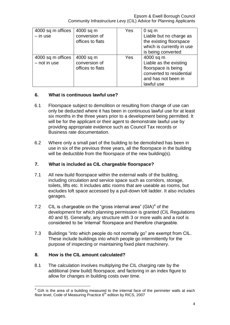| 4000 sq m offices<br>$-$ in use     | 4000 sq m<br>conversion of<br>offices to flats | Yes | $0$ sq m<br>Liable but no charge as<br>the existing floorspace<br>which is currently in use<br>is being converted           |
|-------------------------------------|------------------------------------------------|-----|-----------------------------------------------------------------------------------------------------------------------------|
| 4000 sq m offices<br>$-$ not in use | 4000 sq m<br>conversion of<br>offices to flats | Yes | 4000 sq m<br>Liable as the existing<br>floorspace is being<br>converted to residential<br>and has not been in<br>lawful use |

## **6. What is continuous lawful use?**

- 6.1 Floorspace subject to demolition or resulting from change of use can only be deducted where it has been in continuous lawful use for at least six months in the three years prior to a development being permitted. It will be for the applicant or their agent to demonstrate lawful use by providing appropriate evidence such as Council Tax records or Business rate documentation.
- 6.2 Where only a small part of the building to be demolished has been in use in six of the previous three years, all the floorspace in the building will be deductible from the floorspace of the new building(s).

# **7. What is included as CIL chargeable floorspace?**

- 7.1 All new build floorspace within the external walls of the building, including circulation and service space such as corridors, storage, toilets, lifts etc. It includes attic rooms that are useable as rooms, but excludes loft space accessed by a pull-down loft ladder. It also includes garages.
- 7.2 CIL is chargeable on the "gross internal area" (GIA) $4$  of the development for which planning permission is granted (CIL Regulations 40 and 9). Generally, any structure with 3 or more walls and a roof is considered to be 'internal' floorspace and therefore chargeable.
- 7.3 Buildings "into which people do not normally go" are exempt from CIL. These include buildings into which people go intermittently for the purpose of inspecting or maintaining fixed plant machinery.

# **8. How is the CIL amount calculated?**

8.1 The calculation involves multiplying the CIL charging rate by the additional (new build) floorspace, and factoring in an index figure to allow for changes in building costs over time.

<sup>1</sup>  $4$  GIA is the area of a building measured to the internal face of the perimeter walls at each floor level, Code of Measuring Practice  $6<sup>th</sup>$  edition by RICS, 2007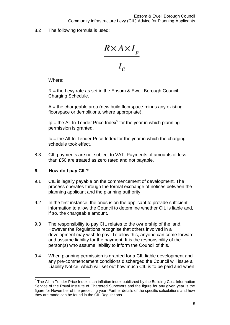8.2 The following formula is used:

 $\frac{R \times A \times I_p}{I_c}$ 

Where:

 $R =$  the Levy rate as set in the Epsom & Ewell Borough Council Charging Schedule.

 $A =$  the chargeable area (new build floorspace minus any existing floorspace or demolitions, where appropriate).

Ip = the All-In Tender Price Index<sup>5</sup> for the year in which planning permission is granted.

 $Ic$  = the All-In Tender Price Index for the year in which the charging schedule took effect.

8.3 CIL payments are not subject to VAT. Payments of amounts of less than £50 are treated as zero rated and not payable.

## **9. How do I pay CIL?**

- 9.1 CIL is legally payable on the commencement of development. The process operates through the formal exchange of notices between the planning applicant and the planning authority.
- 9.2 In the first instance, the onus is on the applicant to provide sufficient information to allow the Council to determine whether CIL is liable and, if so, the chargeable amount.
- 9.3 The responsibility to pay CIL relates to the ownership of the land. However the Regulations recognise that others involved in a development may wish to pay. To allow this, anyone can come forward and assume liability for the payment. It is the responsibility of the person(s) who assume liability to inform the Council of this.
- 9.4 When planning permission is granted for a CIL liable development and any pre-commencement conditions discharged the Council will issue a Liability Notice, which will set out how much CIL is to be paid and when

 5 The All-In Tender Price Index is an inflation index published by the Building Cost Information Service of the Royal Institute of Chartered Surveyors and the figure for any given year is the figure for November of the preceding year. Further details of the specific calculations and how they are made can be found in the CIL Regulations.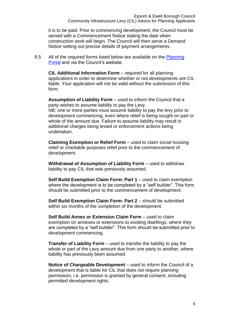it is to be paid. Prior to commencing development, the Council must be served with a Commencement Notice stating the date when construction work will begin. The Council will then serve a Demand Notice setting out precise details of payment arrangements.

9.5 All of the required forms listed below are available on the Planning [Portal](http://www.planningportal.gov.uk/planning/applications/howtoapply/whattosubmit/cil) and via the Council's website.

**CIL Additional Information Form** – required for all planning applications in order to determine whether or not developments are CIL liable. Your application will not be valid without the submission of this form.

**Assumption of Liability Form** – used to inform the Council that a party wishes to assume liability to pay the Levy. NB: one or more parties must assume liability to pay the levy prior to development commencing, even where relief is being sought on part or whole of the amount due. Failure to assume liability may result in additional charges being levied or enforcement actions being undertaken.

**Claiming Exemption or Relief Form** – used to claim social housing relief or charitable purposes relief prior to the commencement of development.

**Withdrawal of Assumption of Liability Form** – used to withdraw liability to pay CIL that was previously assumed.

**Self Build Exemption Claim Form: Part 1** – used to claim exemption where the development is to be completed by a "self builder". This form should be submitted prior to the commencement of development.

**Self Build Exemption Claim Form: Part 2** – should be submitted within six months of the completion of the development.

**Self Build Annex or Extension Claim Form** – used to claim exemption on annexes or extensions to existing dwellings, where they are completed by a "self builder". This form should be submitted prior to development commencing.

**Transfer of Liability Form** – used to transfer the liability to pay the whole or part of the Levy amount due from one party to another, where liability has previously been assumed.

**Notice of Chargeable Development** – used to inform the Council of a development that is liable for CIL that does not require planning permission, i.e. permission is granted by general consent, including permitted development rights.